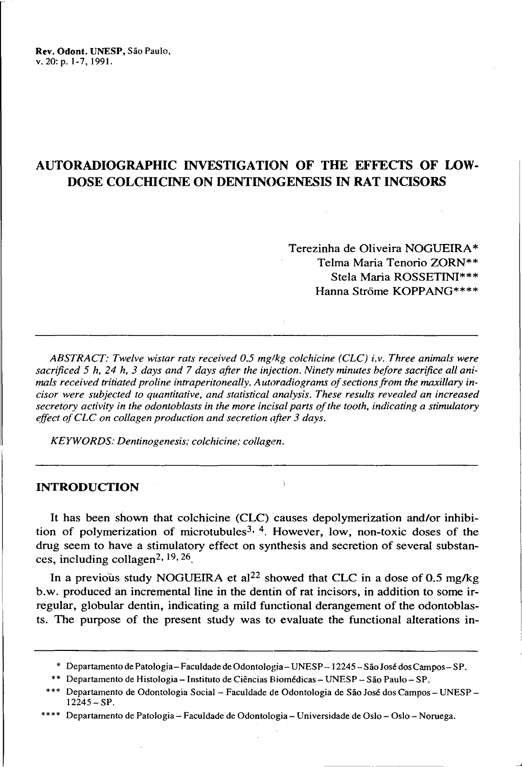Rev. Odont. UNESP, São Paulo, v. 20: p. 1-7, 1991.

# AUTORADIOGRAPHIC INVESTIGATION OF THE EFFECTS OF LOW-DOSE COLCHICINE ON DENTINOGENESIS IN RAT INCISORS

Terezinha de Oliveira NOGUEIRA\* TeIma Maria Tenorio ZORN\*\* Stela Maria ROSSETINI\*\*\* Hanna Strõme KOPPANG\*\*\*\*

*ABSTRACT: Twelve wistar rats received 0.5 mg1kg colchicine (CLC) i.v. Three animais were sacrificed* 5 *h,* 24 *h,* 3 *days and* 7 *days after the injection. Ninety minutes before sacrifice ali animais received tritiated proline intraperitoneally. Autoradiograms ofsectionsfrom the maxillary incisor were subjected to quantitative, and statistical analysis. These results revealed an increased secretory activity in the odontoblasts in the more incisai parts ofthe tooth, indicating a stimulatory elfect ofCLC on collagen production and secretion after* 3 *days.*

*KEYWORDS: Dentinogenesis; colchicine; collagen.*

### INTRODUCTION

It has been shown that colchicine (CLC) causes depolymerization and/or inhibition of polymerization of microtubules<sup>3, 4</sup>. However, low, non-toxic doses of the drug seem to have a stimulatory effect on synthesis and secretion of several substances, including collagen<sup>2, 19, 26</sup>.

In a previous study NOGUEIRA et al<sup>22</sup> showed that CLC in a dose of 0.5 mg/kg b.w. produced an incremental line in the dentin of rat incisors, in addition to some irregular, globular dentin, indicating a mild functional derangement of the odontoblasts. The purpose of the present study was to evaluate the functional alterations in-

<sup>\*</sup> Departamento de Patologia- Faculdade de Odontologia- UNESP-12245-SãoJosé dosCampos- SP.

<sup>\*\*</sup> Departamento de Histologia - Instituto de Ciências Biomédicas - UNESP - São Paulo - SP.

<sup>\*\*\*</sup> Departamento de Odontologia Social - Faculdade de Odontologia de São José dos Campos- UNESP - 12245-SP.

<sup>\*\*\*\*</sup> Departamento de Patologia - Faculdade de Odontologia - Universidade de Oslo - Oslo - Noruega.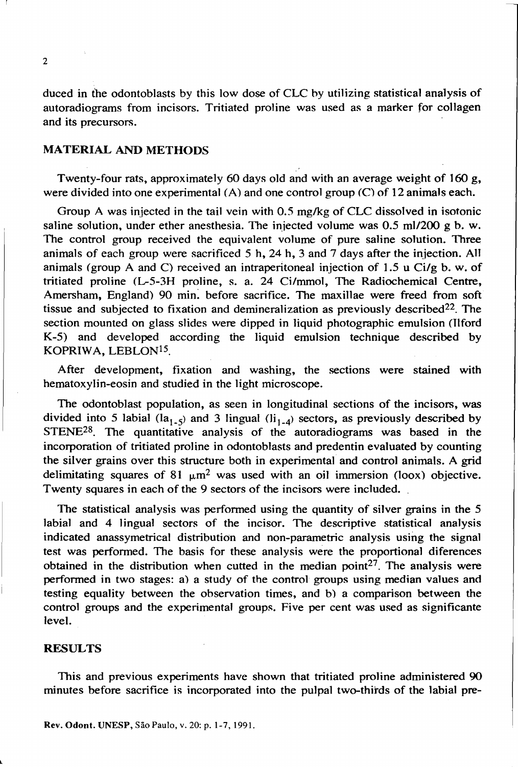2

duced in the odontoblasts by this low dose of CLC hy utilizing statistical analysis of autoradiograms from incisors. Tritiated proline was used as a marker for collagen and its precursors.

## MATERIAL AND METHOOS

Twenty-four rats, approximately 60 days old and with an average weight of 160 g, were divided into one experimental  $(A)$  and one control group  $(C)$  of 12 animals each.

Group A was injected in the tail vein with  $0.5$  mg/kg of CLC dissolved in isotonic saline solution, under ether anesthesia. The injected volume was  $0.5 \text{ ml}/200 \text{ g b. w.}$ The control group received the equivalent volume of pure saline solution. Three animals of each group were sacrificed  $5$  h,  $24$  h,  $3$  and  $7$  days after the injection. All animals (group A and C) received an intraperitoneal injection of 1.5 u Ci/g b. w. of tritiated proline (L-5-3H proline, s. a. 24 Ci/mmol, The Radiochemical Centre, Amersham, England) 90 min. before sacrifice. The maxillae were freed from soft tissue and subjected to fixation and demineralization as previously described<sup>22</sup>. The section mounted on glass slides were dipped in liquid photographic emulsion (Ilford K-5) and developed according the liquid emulsion technique described by KOPRIWA, LEBLONI5.

After development, fixation and washing, the sections were stained with hematoxy1in-eosin and studied in the light microscope.

The odontoblast population, as seen in longitudinal sections of the incisors, was divided into 5 labial (la<sub>1-5</sub>) and 3 lingual (li<sub>1-4</sub>) sectors, as previously described by STENE<sup>28</sup>. The quantitative analysis of the autoradiograms was based in the incorporation of tritiated proline in odontobIasts and predentin evaluated by counting the silver grains over this structure both in experimental and control animals. A grid delimitating squares of 81  $\mu$ m<sup>2</sup> was used with an oil immersion (loox) objective. Twenty squares in each of the 9 sectors of the incisors were included.

The statistical analysis was perfonned using the quantity of silver grains in the 5 labial and 4 lingual sectors of the incisor. The descriptive statistical analysis indicated anassymetrical distribution and non-parametric analysis using the signal test was performed. The basis for these analysis were the proportional diferences obtained in the distribution when cutted in the median point<sup>27</sup>. The analysis were perfonned in two stages: a) a study of the control groups using median values and testing equality between the observation times, and b) a comparison between the control groups and the experimental groups. Five per cent was used as significante leveI.

#### RESULTS

This and previous experiments have shown that tritiated proline administered 90 minutes before sacriftce is incorporated into the pulpal two-thirds of the labial pre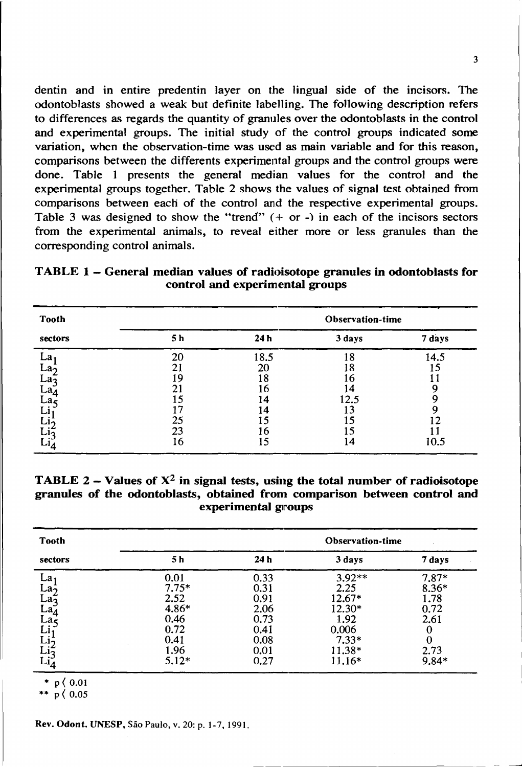dentin and in entire predentin layer on the lingual side of the incisors. The odontoblasts showed a weak: but definite labelling. The following description refers to differences as regards the quantity of granules over the odontoblasts in the control and experimental groups. The initial study of the control groups indicated some variation, when the observation-time was used as main variable and for this reason, comparisons between the differents experimental groups and the control groups were done. Table I presents the general median values for the control and the experimental groups together. Table 2 shows the values of signal test obtained from comparisons between each of the control and the respective experimental groups. Table 3 was designed to show the "trend"  $(+ or -)$  in each of the incisors sectors from the experimental animaIs, to reveal either more or less granules than the corresponding control animais.

| TABLE 1 – General median values of radioisotope granules in odontoblasts for |                                 |  |  |
|------------------------------------------------------------------------------|---------------------------------|--|--|
|                                                                              | control and experimental groups |  |  |

| <b>Tooth</b>    | Observation-time |      |        |        |  |  |
|-----------------|------------------|------|--------|--------|--|--|
| sectors         | 5 h              | 24 h | 3 days | 7 days |  |  |
| La 1            | 20               | 18.5 | 18     | 14.5   |  |  |
| La <sub>2</sub> |                  | 20   | 18     | 15     |  |  |
| La <sub>2</sub> | ۱Q               | 18   | 6      |        |  |  |
| La <sub>a</sub> |                  | 16   | 14     |        |  |  |
| La              |                  | 14   | 12.5   |        |  |  |
|                 |                  | 14   |        |        |  |  |
|                 | 25               |      |        |        |  |  |
|                 | 23               | 16   |        |        |  |  |
|                 | 16               | 15   | 14     | 10.5   |  |  |

TABLE 2 - Values of  $X^2$  in signal tests, using the total number of radioisotope granules of the odontoblasts, obtained from comparison between control and experimental groups

| <b>Tooth</b>                                                | Observation-time |                 |          |         |  |  |
|-------------------------------------------------------------|------------------|-----------------|----------|---------|--|--|
| sectors                                                     | 5 h              | 24 <sub>h</sub> | 3 days   | 7 days  |  |  |
|                                                             | 0.01             | 0.33            | $3.92**$ | $7.87*$ |  |  |
|                                                             | $7.75*$          | 0.31            | 2.25     | $8.36*$ |  |  |
|                                                             | 2.52             | 0.91            | 12.67*   | 1.78    |  |  |
|                                                             | $4.86*$          | 2.06            | $12.30*$ | 0.72    |  |  |
|                                                             | 0.46             | 0.73            | 1.92     | 2.61    |  |  |
|                                                             | 0.72             | 0.41            | 0.006    |         |  |  |
|                                                             | 0.41             | 0.08            | $7.33*$  |         |  |  |
|                                                             | 1.96             | 0.01            | $11.38*$ | 2.73    |  |  |
| La1<br>La2<br>La3<br>La4<br>La5<br>Li1<br>Li1<br>Li1<br>Li4 | $5.12*$          | 0.27            | 11.16*   | $9.84*$ |  |  |

 $*$  p  $(0.01)$ 

\*\*  $p \; (0.05)$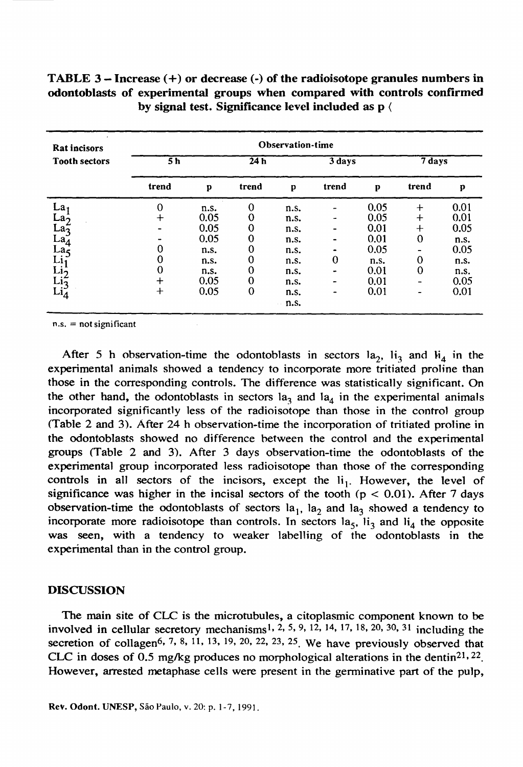| <b>Rat incisors</b>                                                                                 | Observation-time                     |                                                                      |                            |                                                                              |                               |                                                                      |                                   |                                                                      |
|-----------------------------------------------------------------------------------------------------|--------------------------------------|----------------------------------------------------------------------|----------------------------|------------------------------------------------------------------------------|-------------------------------|----------------------------------------------------------------------|-----------------------------------|----------------------------------------------------------------------|
| <b>Tooth sectors</b>                                                                                | 5h                                   |                                                                      | 24h                        |                                                                              | 3 days                        |                                                                      | 7 days                            |                                                                      |
|                                                                                                     | trend                                | p                                                                    | trend                      | p                                                                            | trend                         | p                                                                    | trend                             | p                                                                    |
| La,<br>La-<br>$\operatorname{La}_{3}^{\omega}$<br>La4<br>La5<br>Li1<br>Li5<br>$\operatorname{Li}_4$ | 0<br>0<br>0<br>$\mathrm{+}$<br>$\pm$ | n.s.<br>0.05<br>0.05<br>0.05<br>n.s.<br>n.s.<br>n.s.<br>0.05<br>0.05 | 0<br>0<br>0<br>0<br>0<br>0 | n.s.<br>n.s.<br>n.s.<br>n.s.<br>n.s.<br>n.s.<br>n.s.<br>n.s.<br>n.s.<br>n.s. | 0<br>$\overline{\phantom{0}}$ | 0.05<br>0.05<br>0.01<br>0.01<br>0.05<br>n.s.<br>0.01<br>0.01<br>0.01 | $+$<br>$\div$<br>┿<br>0<br>0<br>0 | 0.01<br>0.01<br>0.05<br>n.s.<br>0.05<br>n.s.<br>n.s.<br>0.05<br>0.01 |

| TABLE 3 – Increase $(+)$ or decrease $(-)$ of the radioisotope granules numbers in |
|------------------------------------------------------------------------------------|
| odontoblasts of experimental groups when compared with controls confirmed          |
| by signal test. Significance level included as p (                                 |

 $n.s.$  = not significant

After 5 h observation-time the odontoblasts in sectors  $a_2$ ,  $i_3$  and  $i_4$  in the experimental animaIs showed a tendency to incorporate more tritiated proline than those in the corresponding controls. The difference was statistically significant. On the other hand, the odontoblasts in sectors  $a_3$  and  $a_4$  in the experimental animals incorporated signiftcantly less of the radioisotope than those in the control group (Table 2 and 3). After 24 h observation-time the incorporation of tritiated proline in the odontoblasts showed no difference between the control and the experimental groups (Table 2 and 3). After 3 days observation-time the odontoblasts of the experimental group incorporated less radioisotope than those of the corresponding controls in all sectors of the incisors, except the  $li<sub>1</sub>$ . However, the level of significance was higher in the incisal sectors of the tooth ( $p < 0.01$ ). After 7 days observation-time the odontoblasts of sectors  $a_1$ ,  $a_2$  and  $a_3$  showed a tendency to incorporate more radioisotope than controls. In sectors  $a_5$ ,  $i_3$  and  $i_4$  the opposite was seen, with a tendency to weaker labelling of the odontoblasts in the experimental than in the control group.

#### DISCUSSION

The main site of CLC is the microtubules, a citoplasmic component known to be involved in cellular secretory mechanisms<sup>1, 2, 5, 9, 12, 14, 17, 18, 20, 30, 31</sup> including the secretion of collagen<sup>6, 7, 8, 11, 13, 19, 20, 22, 23, 25</sup>. We have previously observed that CLC in doses of 0.5 mg/kg produces no morphological alterations in the dentin<sup>21, 22</sup>. However, arrested metaphase cells were present in the germinative part of the pulp,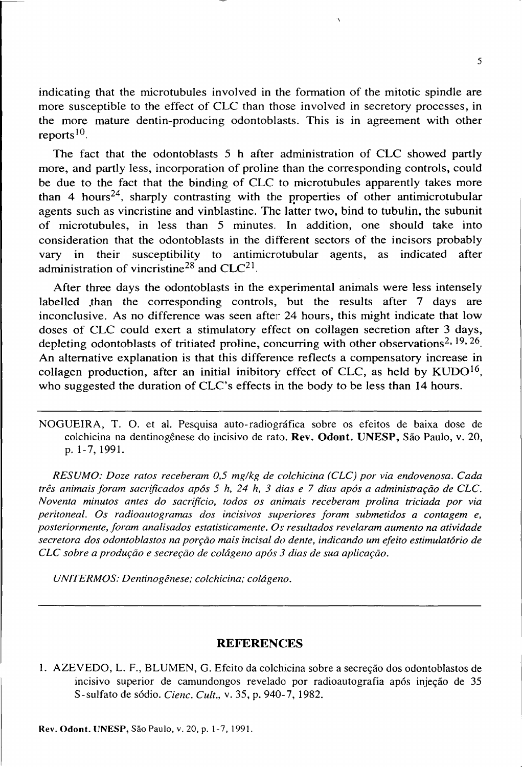indicating that the microtubules involved in the formation of the mitotic spindle are more susceptible to the effect of CLC than those involved in secretory processes, in the more mature dentin-producing odontoblasts. This is in agreement with other reports $10$ .

The fact that the odontoblasts 5 h after administration of CLC showed partly more, and partly less, incorporation of proline than the corresponding controls, could be due to the fact that the binding of CLC to microtubules apparently takes more than 4 hours<sup>24</sup>, sharply contrasting with the properties of other antimicrotubular agents such as vincristine and vinblastine. The latter two, bind to tubulin, the subunit of microtubules, in less than 5 minutes. In addition, one should take into consideration that the odontoblasts in the different sectors of the incisors probabIy vary in their susceptibility to antimicrotubular agents, as indicated after administration of vincristine<sup>28</sup> and  $CLC<sup>21</sup>$ .

After three days the odontoblasts in the experimental animals were less intensely labelled than the corresponding controls, but the results after 7 days are inconclusive. As no difference was seen after  $24$  hours, this might indicate that low doses of CLC could exert a stimulatory effect on collagen secretion after 3 days, depleting odontoblasts of tritiated proline, concurring with other observations<sup>2, 19, 26</sup>. An altemative explanation is that this difference reflects a compensatory increase in collagen production, after an initial inibitory effect of CLC, as held by  $KUDO<sup>16</sup>$ , who suggested the duration of CLC's effects in the body to be less than 14 hours.

NOGUEIRA, T. O. et aI. Pesquisa auto-radiográfica sobre os efeitos de baixa dose de colchicina na dentinogênese do incisivo de rato. Rev. **Odont.** UNESP, São Paulo, v. 20, p. 1- 7, 1991.

*RESUMO: Doze ratos receberam 0,5 mg/kg de colchicina (CLC) por via endovenosa. Cada três animais foram sacrificados após* 5 *h,* 24 *h,* 3 *dias e* 7 *dias após a administração de CLe. Noventa minutos antes do sacrifício, todos os animais receberam prolina triciada por via peritoneal.* Os *radioautogramas dos incisivos superiores foram submetidos a contagem e, posteriormente, foram analisados estatisticamente. Os resultados revelaram aumento na atividade secretora dos odontoblastos na porção mais incisai do dente, indicando um efeito estimulatório de CLC sobre a produção e secreção de colágeno após* 3 *dias de sua aplicação.*

*UNlTERMOS: Dentinogênese; colchicina; colágeno.*

#### **REFERENCES**

1. AZEVEDO, L. F., BLUMEN, G. Efeito da colchicina sobre a secreção dos odontobIastos de incisivo superior de camundongos revelado por radioautografia após injeção de 35 S-sulfato de sódio. *Clenc. Cult.,* v. 35, p. 940- 7, 1982.

5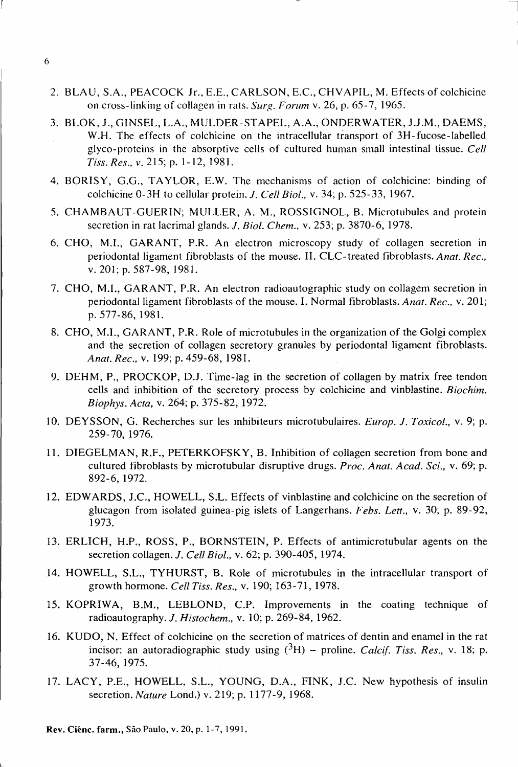- 2. BLAU, S.A., PEACOCK lr., E.E., CARLSON, E.C., CHVAPIL, M. Effects of colchicinc on cross-linking of collagen in rals. *Surg. Forum* v. 26, p. 65-7,1965.
- 3. BLOK, 1., GINSEL, L.A., MULOER-STAPEL, A.A., ONOERWATER, 1.1.M., OAEMS, W.H. Thc effects of colchicine on the intracellular transport of 3H-fucose-labelled glyco-proteins in the absorptive cells of cultured human small intestinal tissue. *Cell Tiss.Res., v.* 215; p. 1-12, 1981.
- 4. BORISY, G.G., TAYLOR, E.W. The mcchanisms of action of colchicine: binding of colchicine 0-3H to cellular protein. J. *Cell Biol.,* v. 34; p. 525-33, 1967.
- 5. CHAMBAUT-GUERIN; MULLER, A. M., ROSSIGNOL, B. Microtubules and protein secretion in rat lacrimal glands. *J. Biol. Chem.*, v. 253; p. 3870-6, 1978.
- 6. CHO, M.I., GARANT, P.R. An electron microscopy study of collagen secretion in periodontal ligament fibroblasts of the mouse. II. CLC-treated fibroblasts. Anat. Rec., v. 201; p. 587-98,1981.
- 7. CHO, M.I., GARANT, P.R. An electron radioautographic study on collagem secretion in periodontalligament fibroblasts of the mouse. I. Normal fibroblasts. *Anat. Rec.,* v. 201; p. 577-86, 1981.
- 8. CHO, M.I., GARANT, P.R. Role of microtubules in the organization of the Golgi complex and the secretion of collagen secretory granules by periodontal ligament fibroblasts. *Anat. Rec.,* v. 199; p. 459-68,1981.
- 9. OEHM, P., PROCKOP, 0.1. Time-Iag in the secretion of collagen by matrix free tendon ceIls and inhibition of the secretory process by colchicine and vinblastine. *Biochim. Biophys. Acta,* v. 264; p. 375-82, 1972.
- 10. OEYSSON, G. Recherches sur les inhibiteurs microtubulaires. *Europ.* J. *Toxicol.,* v. 9; p. 259- 70, 1976.
- 11. OIEGELMAN, R.F., PETERKOFSKY, B. Inhibition of collagen secretion from bone and cultured fibroblasts by microtubular disruptive drugs. *Proc. Anat. Acad. Sei.,* v. 69; p. 892-6, 1972.
- 12. EOWAROS, 1.C., HOWELL, S.L. Effects of vinblastine and colchicine on the secretion of glucagon from isolated guinea-pig islets of Langerhans. *Febs. Lett.,* v. 30; p. 89-92, 1973.
- 13. ERLICH, H.P., ROSS, P., BORNSTEIN, P. Effects of antimicrotubular agents on the secretion collagen. J. *Cell Biol.,* v. 62; p. 390-405, 1974.
- 14. HOWELL, S.L., TYHURST, B. Role of microtubules in the intracellular transport of growth hormone. *CellTiss. Res.,* v. 190; 163-71, 1978.
- 15. KOPRIWA, B.M., LEBLONO, C.P. Improvements in the coating technique of radioautography. J. *Histochem.,* v. 10; p. 269-84, 1962.
- 16. KUOO, N. Effect of colchicine on the secretion of matrices of dentin and enamel in the rat incisor: an autoradiographic study using  $({}^{3}H)$  – proline. *Calcif. Tiss. Res., v.* 18; p. 37-46,1975.
- 17. LACY, P.E., HOWELL, S.L., YOUNG, O.A., FINK, 1.C. New hypothesis of insulin secretion. *Nature* Lond.) v. 219; p. 1177-9, 1968.